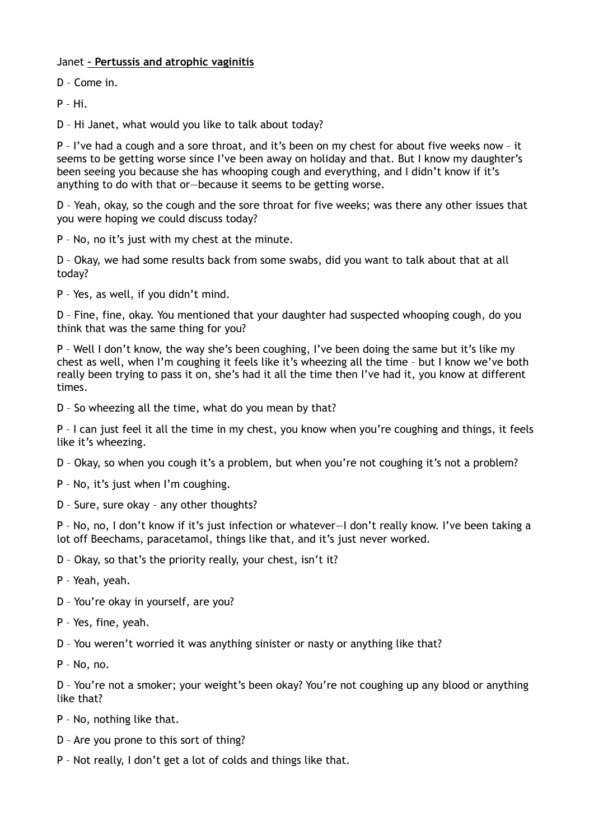## Janet **– Pertussis and atrophic vaginitis**

D – Come in.

P – Hi.

D – Hi Janet, what would you like to talk about today?

P – I've had a cough and a sore throat, and it's been on my chest for about five weeks now – it seems to be getting worse since I've been away on holiday and that. But I know my daughter's been seeing you because she has whooping cough and everything, and I didn't know if it's anything to do with that or—because it seems to be getting worse.

D – Yeah, okay, so the cough and the sore throat for five weeks; was there any other issues that you were hoping we could discuss today?

P – No, no it's just with my chest at the minute.

D – Okay, we had some results back from some swabs, did you want to talk about that at all today?

P – Yes, as well, if you didn't mind.

D – Fine, fine, okay. You mentioned that your daughter had suspected whooping cough, do you think that was the same thing for you?

P – Well I don't know, the way she's been coughing, I've been doing the same but it's like my chest as well, when I'm coughing it feels like it's wheezing all the time – but I know we've both really been trying to pass it on, she's had it all the time then I've had it, you know at different times.

D – So wheezing all the time, what do you mean by that?

P – I can just feel it all the time in my chest, you know when you're coughing and things, it feels like it's wheezing.

D – Okay, so when you cough it's a problem, but when you're not coughing it's not a problem?

- P No, it's just when I'm coughing.
- D Sure, sure okay any other thoughts?

P – No, no, I don't know if it's just infection or whatever—I don't really know. I've been taking a lot off Beechams, paracetamol, things like that, and it's just never worked.

D – Okay, so that's the priority really, your chest, isn't it?

P – Yeah, yeah.

- D You're okay in yourself, are you?
- P Yes, fine, yeah.
- D You weren't worried it was anything sinister or nasty or anything like that?
- P No, no.

D – You're not a smoker; your weight's been okay? You're not coughing up any blood or anything like that?

P – No, nothing like that.

- D Are you prone to this sort of thing?
- P Not really, I don't get a lot of colds and things like that.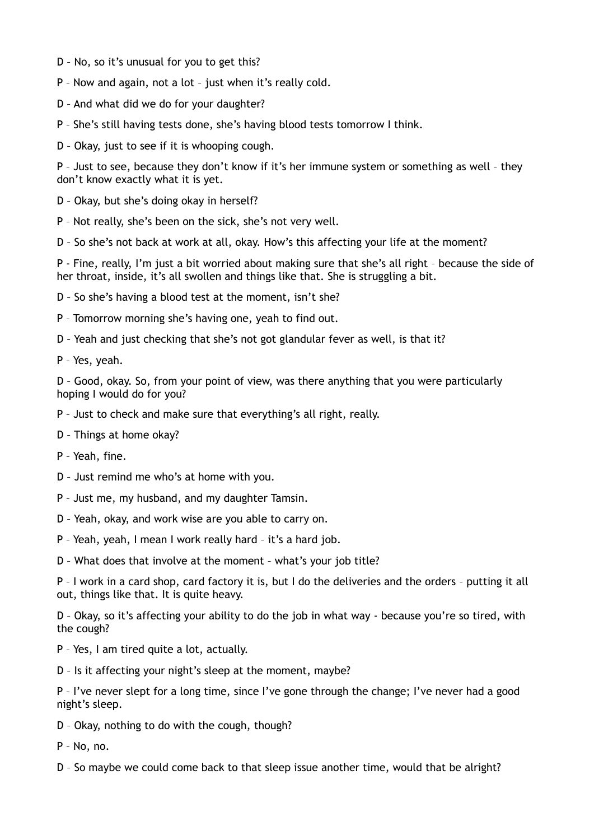- D No, so it's unusual for you to get this?
- P Now and again, not a lot just when it's really cold.
- D And what did we do for your daughter?
- P She's still having tests done, she's having blood tests tomorrow I think.

D – Okay, just to see if it is whooping cough.

P – Just to see, because they don't know if it's her immune system or something as well – they don't know exactly what it is yet.

- D Okay, but she's doing okay in herself?
- P Not really, she's been on the sick, she's not very well.

D – So she's not back at work at all, okay. How's this affecting your life at the moment?

P - Fine, really, I'm just a bit worried about making sure that she's all right – because the side of her throat, inside, it's all swollen and things like that. She is struggling a bit.

D – So she's having a blood test at the moment, isn't she?

- P Tomorrow morning she's having one, yeah to find out.
- D Yeah and just checking that she's not got glandular fever as well, is that it?
- P Yes, yeah.

D – Good, okay. So, from your point of view, was there anything that you were particularly hoping I would do for you?

- P Just to check and make sure that everything's all right, really.
- D Things at home okay?
- P Yeah, fine.
- D Just remind me who's at home with you.
- P Just me, my husband, and my daughter Tamsin.
- D Yeah, okay, and work wise are you able to carry on.
- P Yeah, yeah, I mean I work really hard it's a hard job.
- D What does that involve at the moment what's your job title?

P – I work in a card shop, card factory it is, but I do the deliveries and the orders – putting it all out, things like that. It is quite heavy.

D – Okay, so it's affecting your ability to do the job in what way - because you're so tired, with the cough?

- P Yes, I am tired quite a lot, actually.
- D Is it affecting your night's sleep at the moment, maybe?

P – I've never slept for a long time, since I've gone through the change; I've never had a good night's sleep.

- D Okay, nothing to do with the cough, though?
- P No, no.
- D So maybe we could come back to that sleep issue another time, would that be alright?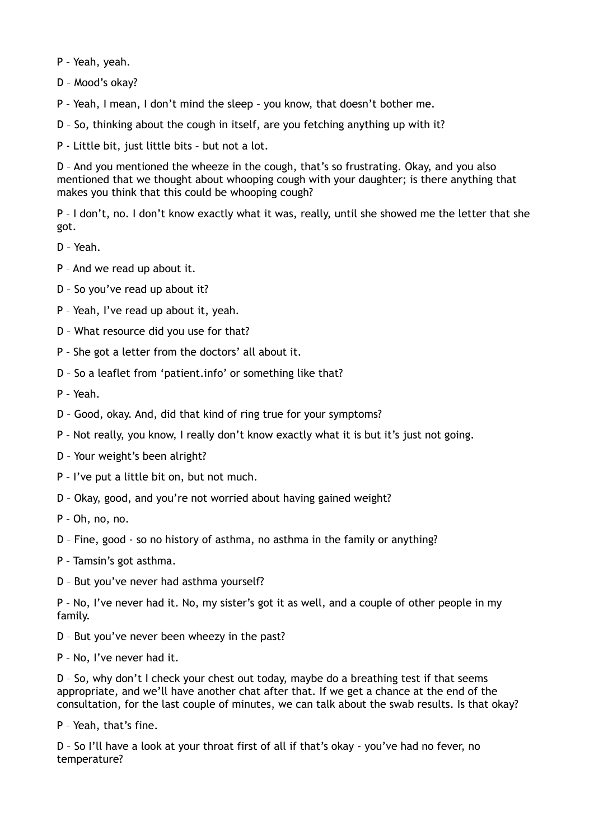P – Yeah, yeah.

D – Mood's okay?

P – Yeah, I mean, I don't mind the sleep – you know, that doesn't bother me.

D – So, thinking about the cough in itself, are you fetching anything up with it?

P - Little bit, just little bits – but not a lot.

D – And you mentioned the wheeze in the cough, that's so frustrating. Okay, and you also mentioned that we thought about whooping cough with your daughter; is there anything that makes you think that this could be whooping cough?

P – I don't, no. I don't know exactly what it was, really, until she showed me the letter that she got.

D – Yeah.

P – And we read up about it.

D – So you've read up about it?

- P Yeah, I've read up about it, yeah.
- D What resource did you use for that?
- P She got a letter from the doctors' all about it.
- D So a leaflet from 'patient.info' or something like that?

P – Yeah.

- D Good, okay. And, did that kind of ring true for your symptoms?
- P Not really, you know, I really don't know exactly what it is but it's just not going.
- D Your weight's been alright?
- P I've put a little bit on, but not much.
- D Okay, good, and you're not worried about having gained weight?
- P Oh, no, no.

D – Fine, good - so no history of asthma, no asthma in the family or anything?

- P Tamsin's got asthma.
- D But you've never had asthma yourself?

P – No, I've never had it. No, my sister's got it as well, and a couple of other people in my family.

- D But you've never been wheezy in the past?
- P No, I've never had it.

D – So, why don't I check your chest out today, maybe do a breathing test if that seems appropriate, and we'll have another chat after that. If we get a chance at the end of the consultation, for the last couple of minutes, we can talk about the swab results. Is that okay?

P – Yeah, that's fine.

D – So I'll have a look at your throat first of all if that's okay - you've had no fever, no temperature?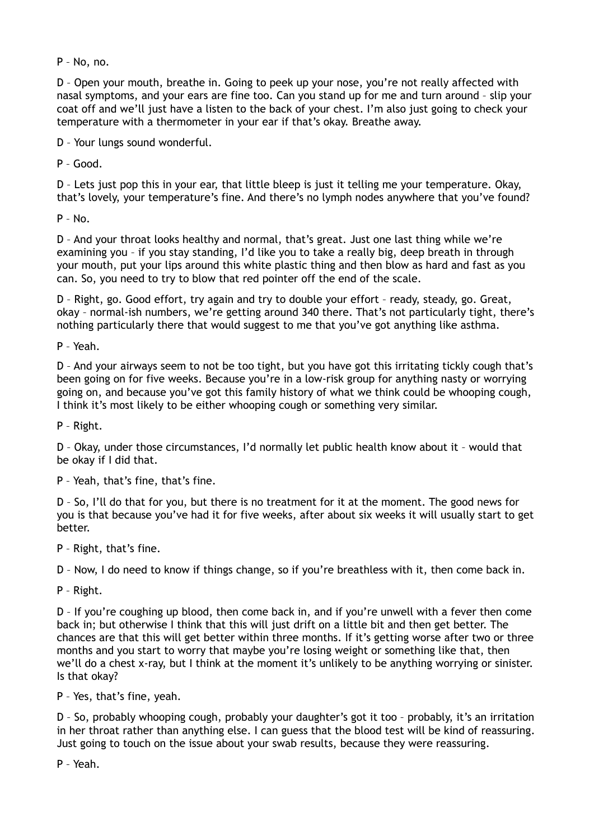P – No, no.

D – Open your mouth, breathe in. Going to peek up your nose, you're not really affected with nasal symptoms, and your ears are fine too. Can you stand up for me and turn around – slip your coat off and we'll just have a listen to the back of your chest. I'm also just going to check your temperature with a thermometer in your ear if that's okay. Breathe away.

D – Your lungs sound wonderful.

P – Good.

D – Lets just pop this in your ear, that little bleep is just it telling me your temperature. Okay, that's lovely, your temperature's fine. And there's no lymph nodes anywhere that you've found?

 $P - N<sub>0</sub>$ 

D – And your throat looks healthy and normal, that's great. Just one last thing while we're examining you – if you stay standing, I'd like you to take a really big, deep breath in through your mouth, put your lips around this white plastic thing and then blow as hard and fast as you can. So, you need to try to blow that red pointer off the end of the scale.

D – Right, go. Good effort, try again and try to double your effort – ready, steady, go. Great, okay – normal-ish numbers, we're getting around 340 there. That's not particularly tight, there's nothing particularly there that would suggest to me that you've got anything like asthma.

P – Yeah.

D – And your airways seem to not be too tight, but you have got this irritating tickly cough that's been going on for five weeks. Because you're in a low-risk group for anything nasty or worrying going on, and because you've got this family history of what we think could be whooping cough, I think it's most likely to be either whooping cough or something very similar.

P – Right.

D – Okay, under those circumstances, I'd normally let public health know about it – would that be okay if I did that.

P – Yeah, that's fine, that's fine.

D – So, I'll do that for you, but there is no treatment for it at the moment. The good news for you is that because you've had it for five weeks, after about six weeks it will usually start to get better.

P – Right, that's fine.

D – Now, I do need to know if things change, so if you're breathless with it, then come back in.

P – Right.

D – If you're coughing up blood, then come back in, and if you're unwell with a fever then come back in; but otherwise I think that this will just drift on a little bit and then get better. The chances are that this will get better within three months. If it's getting worse after two or three months and you start to worry that maybe you're losing weight or something like that, then we'll do a chest x-ray, but I think at the moment it's unlikely to be anything worrying or sinister. Is that okay?

P – Yes, that's fine, yeah.

D – So, probably whooping cough, probably your daughter's got it too – probably, it's an irritation in her throat rather than anything else. I can guess that the blood test will be kind of reassuring. Just going to touch on the issue about your swab results, because they were reassuring.

P – Yeah.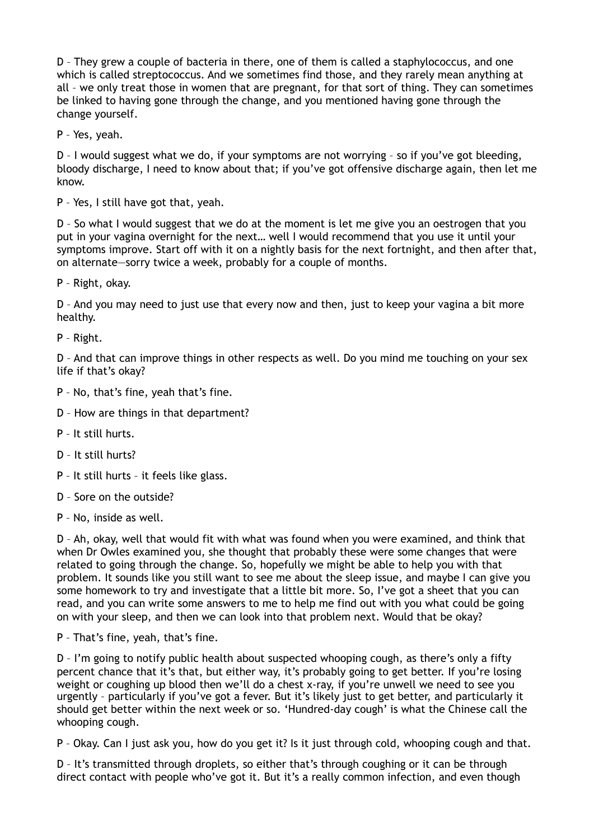D – They grew a couple of bacteria in there, one of them is called a staphylococcus, and one which is called streptococcus. And we sometimes find those, and they rarely mean anything at all – we only treat those in women that are pregnant, for that sort of thing. They can sometimes be linked to having gone through the change, and you mentioned having gone through the change yourself.

P – Yes, yeah.

D – I would suggest what we do, if your symptoms are not worrying – so if you've got bleeding, bloody discharge, I need to know about that; if you've got offensive discharge again, then let me know.

P – Yes, I still have got that, yeah.

D – So what I would suggest that we do at the moment is let me give you an oestrogen that you put in your vagina overnight for the next… well I would recommend that you use it until your symptoms improve. Start off with it on a nightly basis for the next fortnight, and then after that, on alternate—sorry twice a week, probably for a couple of months.

P – Right, okay.

D – And you may need to just use that every now and then, just to keep your vagina a bit more healthy.

P – Right.

D – And that can improve things in other respects as well. Do you mind me touching on your sex life if that's okay?

- P No, that's fine, yeah that's fine.
- D How are things in that department?
- P It still hurts.
- D It still hurts?
- P It still hurts it feels like glass.
- D Sore on the outside?
- P No, inside as well.

D – Ah, okay, well that would fit with what was found when you were examined, and think that when Dr Owles examined you, she thought that probably these were some changes that were related to going through the change. So, hopefully we might be able to help you with that problem. It sounds like you still want to see me about the sleep issue, and maybe I can give you some homework to try and investigate that a little bit more. So, I've got a sheet that you can read, and you can write some answers to me to help me find out with you what could be going on with your sleep, and then we can look into that problem next. Would that be okay?

P – That's fine, yeah, that's fine.

D – I'm going to notify public health about suspected whooping cough, as there's only a fifty percent chance that it's that, but either way, it's probably going to get better. If you're losing weight or coughing up blood then we'll do a chest x-ray, if you're unwell we need to see you urgently – particularly if you've got a fever. But it's likely just to get better, and particularly it should get better within the next week or so. 'Hundred-day cough' is what the Chinese call the whooping cough.

P – Okay. Can I just ask you, how do you get it? Is it just through cold, whooping cough and that.

D – It's transmitted through droplets, so either that's through coughing or it can be through direct contact with people who've got it. But it's a really common infection, and even though